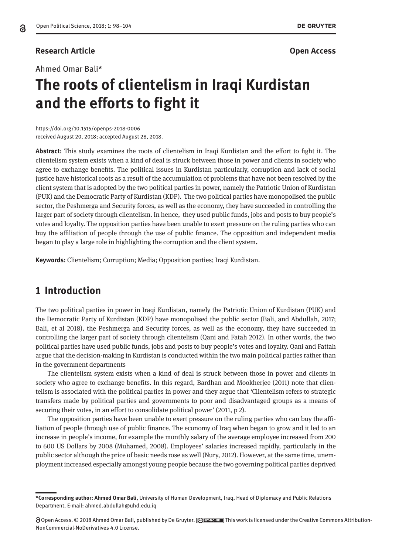#### **Research Article Open Access**

Ahmed Omar Bali\*

# **The roots of clientelism in Iraqi Kurdistan and the efforts to fight it**

https://doi.org/10.1515/openps-2018-0006 received August 20, 2018; accepted August 28, 2018.

Abstract: This study examines the roots of clientelism in Iraqi Kurdistan and the effort to fight it. The clientelism system exists when a kind of deal is struck between those in power and clients in society who Research Article agree to exchange benefits. The political issues in Kurdistan particularly, corruption and lack of social justice have historical roots as a result of the accumulation of problems that have not been resolved by the dient system that is adopted by the two political parties in power, namely the Patriotic Union of Kurdistan client system that is adopted by the two political parties in power, namely the Patriotic Union of Kurdistan (PUK) and the Democratic Party of Kurdistan (KDP). The two political parties have monopolised the public sector, the Peshmerga and Security forces, as well as the economy, they have succeeded in controlling the sector, the Peshmerga and Security forces, as well as the economy, they have succeeded in controlling the<br>larger part of society through clientelism. In hence, they used public funds, jobs and posts to buy people's votes and loyalty. The opposition parties have been unable to exert pressure on the ruling parties who can buy the affiliation of people through the use of public finance. The opposition and independent media began to play a large role in highlighting the corruption and the client system**.** 

Keywords: Clientelism; Corruption; Media; Opposition parties; Iraqi Kurdistan.

# **1 Introduction**

Road Keelung 20224, Taiwan (R.O.C), e-mail: email@mail.com

The two political parties in power in Iraqi Kurdistan, namely the Patriotic Union of Kurdistan (PUK) and the Democratic Party of Kurdistan (KDP) have monopolised the public sector (Bali, and Abdullah, 2017; Bali, et al 2018), the Peshmerga and Security forces, as well as the economy, they have succeeded in controlling the larger part of society through clientelism (Qani and Fatah 2012). In other words, the two political parties have used public funds, jobs and posts to buy people's votes and loyalty. Qani and Fattah argue that the decision-making in Kurdistan is conducted within the two main political parties rather than in the government departments

The clientelism system exists when a kind of deal is struck between those in power and clients in society who agree to exchange benefits. In this regard, Bardhan and Mookherjee (2011) note that clientelism is associated with the political parties in power and they argue that 'Clientelism refers to strategic transfers made by political parties and governments to poor and disadvantaged groups as a means of securing their votes, in an effort to consolidate political power' (2011, p 2).

The opposition parties have been unable to exert pressure on the ruling parties who can buy the affiliation of people through use of public finance. The economy of Iraq when began to grow and it led to an increase in people's income, for example the monthly salary of the average employee increased from 200 to 600 US Dollars by 2008 (Muhamed, 2008). Employees' salaries increased rapidly, particularly in the public sector although the price of basic needs rose as well (Nury, 2012). However, at the same time, unemployment increased especially amongst young people because the two governing political parties deprived

**<sup>\*</sup>Corresponding author: Ahmed Omar Bali,** University of Human Development, Iraq, Head of Diplomacy and Public Relations Department, E-mail: ahmed.abdullah@uhd.edu.iq

**<sup>(3</sup>** Open Access. © 2018 Ahmed Omar Bali, published by De Gruyter. <mark>@ கூடீமை )</mark> This work is licensed under the Creative Commons Attribution-NonCommercial-NoDerivatives 4.0 License.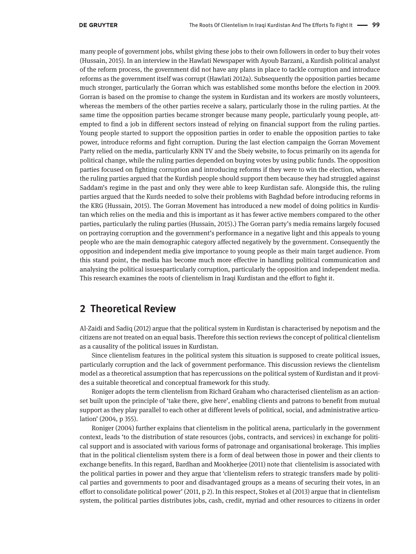many people of government jobs, whilst giving these jobs to their own followers in order to buy their votes (Hussain, 2015). In an interview in the Hawlati Newspaper with Ayoub Barzani, a Kurdish political analyst of the reform process, the government did not have any plans in place to tackle corruption and introduce reforms as the government itself was corrupt (Hawlati 2012a). Subsequently the opposition parties became much stronger, particularly the Gorran which was established some months before the election in 2009. Gorran is based on the promise to change the system in Kurdistan and its workers are mostly volunteers, whereas the members of the other parties receive a salary, particularly those in the ruling parties. At the same time the opposition parties became stronger because many people, particularly young people, attempted to find a job in different sectors instead of relying on financial support from the ruling parties. Young people started to support the opposition parties in order to enable the opposition parties to take power, introduce reforms and fight corruption. During the last election campaign the Gorran Movement Party relied on the media, particularly KNN TV and the Sbeiy website, to focus primarily on its agenda for political change, while the ruling parties depended on buying votes by using public funds. The opposition parties focused on fighting corruption and introducing reforms if they were to win the election, whereas the ruling parties argued that the Kurdish people should support them because they had struggled against Saddam's regime in the past and only they were able to keep Kurdistan safe. Alongside this, the ruling parties argued that the Kurds needed to solve their problems with Baghdad before introducing reforms in the KRG (Hussain, 2015). The Gorran Movement has introduced a new model of doing politics in Kurdistan which relies on the media and this is important as it has fewer active members compared to the other parties, particularly the ruling parties (Hussain, 2015).) The Gorran party's media remains largely focused on portraying corruption and the government's performance in a negative light and this appeals to young people who are the main demographic category affected negatively by the government. Consequently the opposition and independent media give importance to young people as their main target audience. From this stand point, the media has become much more effective in handling political communication and analysing the political issuesparticularly corruption, particularly the opposition and independent media. This research examines the roots of clientelism in Iraqi Kurdistan and the effort to fight it.

# **2 Theoretical Review**

Al-Zaidi and Sadiq (2012) argue that the political system in Kurdistan is characterised by nepotism and the citizens are not treated on an equal basis. Therefore this section reviews the concept of political clientelism as a causality of the political issues in Kurdistan.

Since clientelism features in the political system this situation is supposed to create political issues, particularly corruption and the lack of government performance. This discussion reviews the clientelism model as a theoretical assumption that has repercussions on the political system of Kurdistan and it provides a suitable theoretical and conceptual framework for this study.

Roniger adopts the term clientelism from Richard Graham who characterised clientelism as an actionset built upon the principle of 'take there, give here', enabling clients and patrons to benefit from mutual support as they play parallel to each other at different levels of political, social, and administrative articulation' (2004, p 355).

Roniger (2004) further explains that clientelism in the political arena, particularly in the government context, leads 'to the distribution of state resources (jobs, contracts, and services) in exchange for political support and is associated with various forms of patronage and organisational brokerage. This implies that in the political clientelism system there is a form of deal between those in power and their clients to exchange benefits. In this regard, Bardhan and Mookherjee (2011) note that clientelisim is associated with the political parties in power and they argue that 'clientelism refers to strategic transfers made by political parties and governments to poor and disadvantaged groups as a means of securing their votes, in an effort to consolidate political power' (2011, p 2). In this respect, Stokes et al (2013) argue that in clientelism system, the political parties distributes jobs, cash, credit, myriad and other resources to citizens in order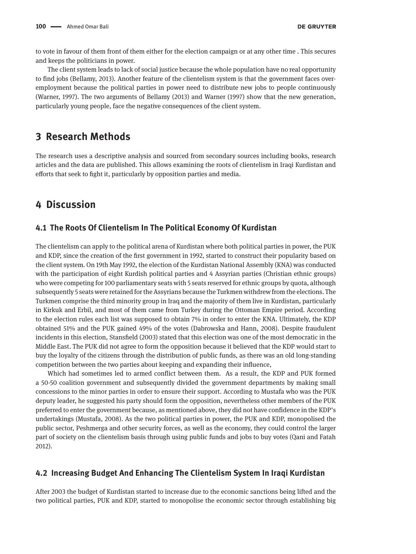to vote in favour of them front of them either for the election campaign or at any other time . This secures and keeps the politicians in power.

The client system leads to lack of social justice because the whole population have no real opportunity to find jobs (Bellamy, 2013). Another feature of the clientelism system is that the government faces overemployment because the political parties in power need to distribute new jobs to people continuously (Warner, 1997). The two arguments of Bellamy (2013) and Warner (1997) show that the new generation, particularly young people, face the negative consequences of the client system.

### **3 Research Methods**

The research uses a descriptive analysis and sourced from secondary sources including books, research articles and the data are published. This allows examining the roots of clientelism in Iraqi Kurdistan and efforts that seek to fight it, particularly by opposition parties and media.

# **4 Discussion**

#### **4.1 The Roots Of Clientelism In The Political Economy Of Kurdistan**

The clientelism can apply to the political arena of Kurdistan where both political parties in power, the PUK and KDP, since the creation of the first government in 1992, started to construct their popularity based on the client system. On 19th May 1992, the election of the Kurdistan National Assembly (KNA) was conducted with the participation of eight Kurdish political parties and 4 Assyrian parties (Christian ethnic groups) who were competing for 100 parliamentary seats with 5 seats reserved for ethnic groups by quota, although subsequently 5 seats were retained for the Assyrians because the Turkmen withdrew from the elections. The Turkmen comprise the third minority group in Iraq and the majority of them live in Kurdistan, particularly in Kirkuk and Erbil, and most of them came from Turkey during the Ottoman Empire period. According to the election rules each list was supposed to obtain 7% in order to enter the KNA. Ultimately, the KDP obtained 51% and the PUK gained 49% of the votes (Dabrowska and Hann, 2008). Despite fraudulent incidents in this election, Stansfield (2003) stated that this election was one of the most democratic in the Middle East. The PUK did not agree to form the opposition because it believed that the KDP would start to buy the loyalty of the citizens through the distribution of public funds, as there was an old long-standing competition between the two parties about keeping and expanding their influence,

Which had sometimes led to armed conflict between them. As a result, the KDP and PUK formed a 50-50 coalition government and subsequently divided the government departments by making small concessions to the minor parties in order to ensure their support. According to Mustafa who was the PUK deputy leader, he suggested his party should form the opposition, nevertheless other members of the PUK preferred to enter the government because, as mentioned above, they did not have confidence in the KDP's undertakings (Mustafa, 2008). As the two political parties in power, the PUK and KDP, monopolised the public sector, Peshmerga and other security forces, as well as the economy, they could control the larger part of society on the clientelism basis through using public funds and jobs to buy votes (Qani and Fatah 2012).

#### **4.2 Increasing Budget And Enhancing The Clientelism System In Iraqi Kurdistan**

After 2003 the budget of Kurdistan started to increase due to the economic sanctions being lifted and the two political parties, PUK and KDP, started to monopolise the economic sector through establishing big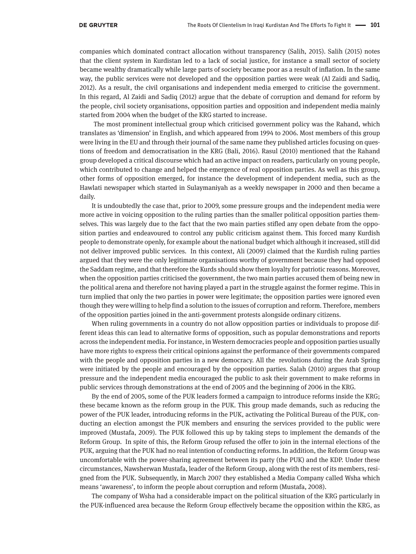companies which dominated contract allocation without transparency (Salih, 2015). Salih (2015) notes that the client system in Kurdistan led to a lack of social justice, for instance a small sector of society became wealthy dramatically while large parts of society became poor as a result of inflation. In the same way, the public services were not developed and the opposition parties were weak (Al Zaidi and Sadiq, 2012). As a result, the civil organisations and independent media emerged to criticise the government. In this regard, Al Zaidi and Sadiq (2012) argue that the debate of corruption and demand for reform by the people, civil society organisations, opposition parties and opposition and independent media mainly started from 2004 when the budget of the KRG started to increase.

 The most prominent intellectual group which criticised government policy was the Rahand, which translates as 'dimension' in English, and which appeared from 1994 to 2006. Most members of this group were living in the EU and through their journal of the same name they published articles focusing on questions of freedom and democratisation in the KRG (Bali, 2016). Rasul (2010) mentioned that the Rahand group developed a critical discourse which had an active impact on readers, particularly on young people, which contributed to change and helped the emergence of real opposition parties. As well as this group, other forms of opposition emerged, for instance the development of independent media, such as the Hawlati newspaper which started in Sulaymaniyah as a weekly newspaper in 2000 and then became a daily.

It is undoubtedly the case that, prior to 2009, some pressure groups and the independent media were more active in voicing opposition to the ruling parties than the smaller political opposition parties themselves. This was largely due to the fact that the two main parties stifled any open debate from the opposition parties and endeavoured to control any public criticism against them. This forced many Kurdish people to demonstrate openly, for example about the national budget which although it increased, still did not deliver improved public services. In this context, Ali (2009) claimed that the Kurdish ruling parties argued that they were the only legitimate organisations worthy of government because they had opposed the Saddam regime, and that therefore the Kurds should show them loyalty for patriotic reasons. Moreover, when the opposition parties criticised the government, the two main parties accused them of being new in the political arena and therefore not having played a part in the struggle against the former regime. This in turn implied that only the two parties in power were legitimate; the opposition parties were ignored even though they were willing to help find a solution to the issues of corruption and reform. Therefore, members of the opposition parties joined in the anti-government protests alongside ordinary citizens.

When ruling governments in a country do not allow opposition parties or individuals to propose different ideas this can lead to alternative forms of opposition, such as popular demonstrations and reports across the independent media. For instance, in Western democracies people and opposition parties usually have more rights to express their critical opinions against the performance of their governments compared with the people and opposition parties in a new democracy. All the revolutions during the Arab Spring were initiated by the people and encouraged by the opposition parties. Salah (2010) argues that group pressure and the independent media encouraged the public to ask their government to make reforms in public services through demonstrations at the end of 2005 and the beginning of 2006 in the KRG.

By the end of 2005, some of the PUK leaders formed a campaign to introduce reforms inside the KRG; these became known as the reform group in the PUK. This group made demands, such as reducing the power of the PUK leader, introducing reforms in the PUK, activating the Political Bureau of the PUK, conducting an election amongst the PUK members and ensuring the services provided to the public were improved (Mustafa, 2009). The PUK followed this up by taking steps to implement the demands of the Reform Group. In spite of this, the Reform Group refused the offer to join in the internal elections of the PUK, arguing that the PUK had no real intention of conducting reforms. In addition, the Reform Group was uncomfortable with the power-sharing agreement between its party (the PUK) and the KDP. Under these circumstances, Nawsherwan Mustafa, leader of the Reform Group, along with the rest of its members, resigned from the PUK. Subsequently, in March 2007 they established a Media Company called Wsha which means 'awareness', to inform the people about corruption and reform (Mustafa, 2008).

The company of Wsha had a considerable impact on the political situation of the KRG particularly in the PUK-influenced area because the Reform Group effectively became the opposition within the KRG, as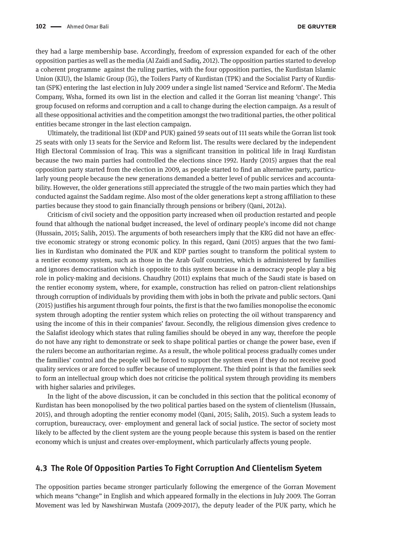they had a large membership base. Accordingly, freedom of expression expanded for each of the other opposition parties as well as the media (Al Zaidi and Sadiq, 2012). The opposition parties started to develop a coherent programme against the ruling parties, with the four opposition parties, the Kurdistan Islamic Union (KIU), the Islamic Group (IG), the Toilers Party of Kurdistan (TPK) and the Socialist Party of Kurdistan (SPK) entering the last election in July 2009 under a single list named 'Service and Reform'. The Media Company, Wsha, formed its own list in the election and called it the Gorran list meaning 'change'. This group focused on reforms and corruption and a call to change during the election campaign. As a result of all these oppositional activities and the competition amongst the two traditional parties, the other political entities became stronger in the last election campaign.

Ultimately, the traditional list (KDP and PUK) gained 59 seats out of 111 seats while the Gorran list took 25 seats with only 13 seats for the Service and Reform list. The results were declared by the independent High Electoral Commission of Iraq. This was a significant transition in political life in Iraqi Kurdistan because the two main parties had controlled the elections since 1992. Hardy (2015) argues that the real opposition party started from the election in 2009, as people started to find an alternative party, particularly young people because the new generations demanded a better level of public services and accountability. However, the older generations still appreciated the struggle of the two main parties which they had conducted against the Saddam regime. Also most of the older generations kept a strong affiliation to these parties because they stood to gain financially through pensions or bribery (Qani, 2012a).

Criticism of civil society and the opposition party increased when oil production restarted and people found that although the national budget increased, the level of ordinary people's income did not change (Hussain, 2015; Salih, 2015). The arguments of both researchers imply that the KRG did not have an effective economic strategy or strong economic policy. In this regard, Qani (2015) argues that the two families in Kurdistan who dominated the PUK and KDP parties sought to transform the political system to a rentier economy system, such as those in the Arab Gulf countries, which is administered by families and ignores democratisation which is opposite to this system because in a democracy people play a big role in policy-making and decisions. Chaudhry (2011) explains that much of the Saudi state is based on the rentier economy system, where, for example, construction has relied on patron-client relationships through corruption of individuals by providing them with jobs in both the private and public sectors. Qani (2015) justifies his argument through four points, the first is that the two families monopolise the economic system through adopting the rentier system which relies on protecting the oil without transparency and using the income of this in their companies' favour. Secondly, the religious dimension gives credence to the Salafist ideology which states that ruling families should be obeyed in any way, therefore the people do not have any right to demonstrate or seek to shape political parties or change the power base, even if the rulers become an authoritarian regime. As a result, the whole political process gradually comes under the families' control and the people will be forced to support the system even if they do not receive good quality services or are forced to suffer because of unemployment. The third point is that the families seek to form an intellectual group which does not criticise the political system through providing its members with higher salaries and privileges.

In the light of the above discussion, it can be concluded in this section that the political economy of Kurdistan has been monopolised by the two political parties based on the system of clientelism (Hussain, 2015), and through adopting the rentier economy model (Qani, 2015; Salih, 2015). Such a system leads to corruption, bureaucracy, over- employment and general lack of social justice. The sector of society most likely to be affected by the client system are the young people because this system is based on the rentier economy which is unjust and creates over-employment, which particularly affects young people.

#### **4.3 The Role Of Opposition Parties To Fight Corruption And Clientelism Syetem**

The opposition parties became stronger particularly following the emergence of the Gorran Movement which means "change" in English and which appeared formally in the elections in July 2009. The Gorran Movement was led by Nawshirwan Mustafa (2009-2017), the deputy leader of the PUK party, which he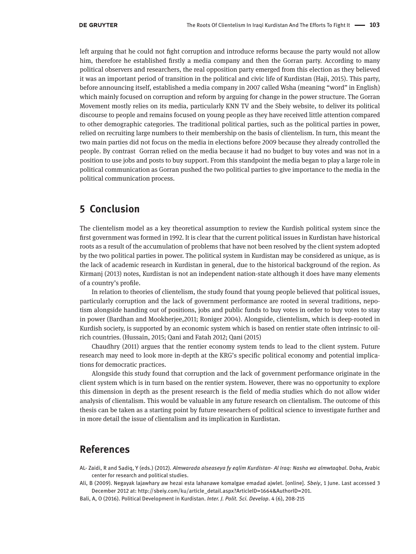left arguing that he could not fight corruption and introduce reforms because the party would not allow him, therefore he established firstly a media company and then the Gorran party. According to many political observers and researchers, the real opposition party emerged from this election as they believed it was an important period of transition in the political and civic life of Kurdistan (Haji, 2015). This party, before announcing itself, established a media company in 2007 called Wsha (meaning "word" in English) which mainly focused on corruption and reform by arguing for change in the power structure. The Gorran Movement mostly relies on its media, particularly KNN TV and the Sbeiy website, to deliver its political discourse to people and remains focused on young people as they have received little attention compared to other demographic categories. The traditional political parties, such as the political parties in power, relied on recruiting large numbers to their membership on the basis of clientelism. In turn, this meant the two main parties did not focus on the media in elections before 2009 because they already controlled the people. By contrast Gorran relied on the media because it had no budget to buy votes and was not in a position to use jobs and posts to buy support. From this standpoint the media began to play a large role in political communication as Gorran pushed the two political parties to give importance to the media in the political communication process.

## **5 Conclusion**

The clientelism model as a key theoretical assumption to review the Kurdish political system since the first government was formed in 1992. It is clear that the current political issues in Kurdistan have historical roots as a result of the accumulation of problems that have not been resolved by the client system adopted by the two political parties in power. The political system in Kurdistan may be considered as unique, as is the lack of academic research in Kurdistan in general, due to the historical background of the region. As Kirmanj (2013) notes, Kurdistan is not an independent nation-state although it does have many elements of a country's profile.

In relation to theories of clientelism, the study found that young people believed that political issues, particularly corruption and the lack of government performance are rooted in several traditions, nepotism alongside handing out of positions, jobs and public funds to buy votes in order to buy votes to stay in power (Bardhan and Mookherjee,2011; Roniger 2004). Alongside, clientelism, which is deep-rooted in Kurdish society, is supported by an economic system which is based on rentier state often intrinsic to oilrich countries. (Hussain, 2015; Qani and Fatah 2012; Qani (2015)

Chaudhry (2011) argues that the rentier economy system tends to lead to the client system. Future research may need to look more in-depth at the KRG's specific political economy and potential implications for democratic practices.

Alongside this study found that corruption and the lack of government performance originate in the client system which is in turn based on the rentier system. However, there was no opportunity to explore this dimension in depth as the present research is the field of media studies which do not allow wider analysis of clientalism. This would be valuable in any future research on clientalism. The outcome of this thesis can be taken as a starting point by future researchers of political science to investigate further and in more detail the issue of clientalism and its implication in Kurdistan.

# **References**

- AL- Zaidi, R and Sadiq, Y (eds.) (2012). *Almwarada alseaseya fy eqlim Kurdistan- Al Iraq: Nasha wa almwtaqbal*. Doha, Arabic center for research and political studies.
- Ali, B (2009). Negayak lajawhary aw hezai esta lahanawe komalgae emadad ajwlet. [online]. *Sbeiy*, 1 June. Last accessed 3 December 2012 at: http://sbeiy.com/ku/article\_detail.aspx?ArticleID=1664&AuthorID=201.
- Bali, A, O (2016). Political Development in Kurdistan. *Inter. J. Polit. Sci. Develop*. 4 (6), 208-215